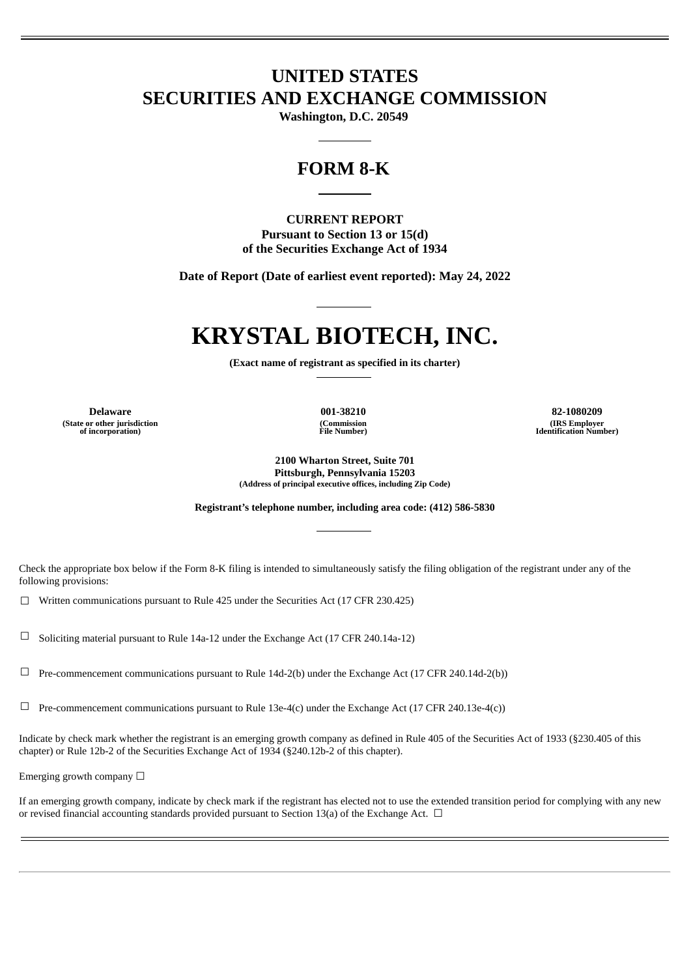# **UNITED STATES SECURITIES AND EXCHANGE COMMISSION**

**Washington, D.C. 20549**

## **FORM 8-K**

### **CURRENT REPORT Pursuant to Section 13 or 15(d) of the Securities Exchange Act of 1934**

**Date of Report (Date of earliest event reported): May 24, 2022**

# **KRYSTAL BIOTECH, INC.**

**(Exact name of registrant as specified in its charter)**

**(State or other jurisdiction of incorporation)**

**(Commission File Number)**

**Delaware 001-38210 82-1080209 (IRS Employer Identification Number)**

> **2100 Wharton Street, Suite 701 Pittsburgh, Pennsylvania 15203 (Address of principal executive offices, including Zip Code)**

**Registrant's telephone number, including area code: (412) 586-5830**

Check the appropriate box below if the Form 8-K filing is intended to simultaneously satisfy the filing obligation of the registrant under any of the following provisions:

☐ Written communications pursuant to Rule 425 under the Securities Act (17 CFR 230.425)

☐ Soliciting material pursuant to Rule 14a-12 under the Exchange Act (17 CFR 240.14a-12)

☐ Pre-commencement communications pursuant to Rule 14d-2(b) under the Exchange Act (17 CFR 240.14d-2(b))

 $\Box$  Pre-commencement communications pursuant to Rule 13e-4(c) under the Exchange Act (17 CFR 240.13e-4(c))

Indicate by check mark whether the registrant is an emerging growth company as defined in Rule 405 of the Securities Act of 1933 (§230.405 of this chapter) or Rule 12b-2 of the Securities Exchange Act of 1934 (§240.12b-2 of this chapter).

Emerging growth company  $\Box$ 

If an emerging growth company, indicate by check mark if the registrant has elected not to use the extended transition period for complying with any new or revised financial accounting standards provided pursuant to Section 13(a) of the Exchange Act.  $\Box$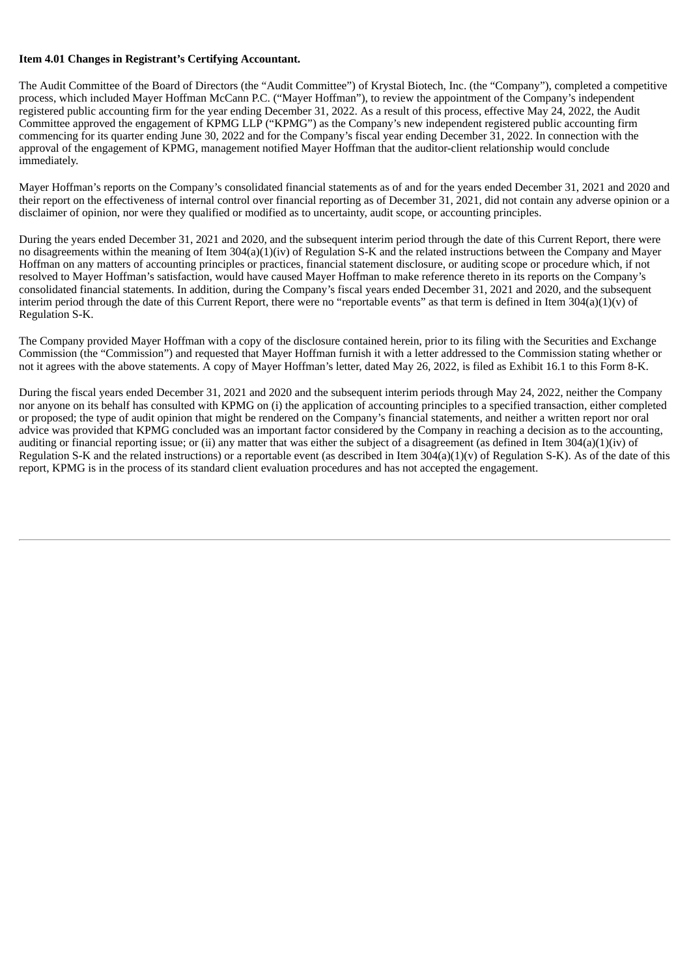#### **Item 4.01 Changes in Registrant's Certifying Accountant.**

The Audit Committee of the Board of Directors (the "Audit Committee") of Krystal Biotech, Inc. (the "Company"), completed a competitive process, which included Mayer Hoffman McCann P.C. ("Mayer Hoffman"), to review the appointment of the Company's independent registered public accounting firm for the year ending December 31, 2022. As a result of this process, effective May 24, 2022, the Audit Committee approved the engagement of KPMG LLP ("KPMG") as the Company's new independent registered public accounting firm commencing for its quarter ending June 30, 2022 and for the Company's fiscal year ending December 31, 2022. In connection with the approval of the engagement of KPMG, management notified Mayer Hoffman that the auditor-client relationship would conclude immediately.

Mayer Hoffman's reports on the Company's consolidated financial statements as of and for the years ended December 31, 2021 and 2020 and their report on the effectiveness of internal control over financial reporting as of December 31, 2021, did not contain any adverse opinion or a disclaimer of opinion, nor were they qualified or modified as to uncertainty, audit scope, or accounting principles.

During the years ended December 31, 2021 and 2020, and the subsequent interim period through the date of this Current Report, there were no disagreements within the meaning of Item 304(a)(1)(iv) of Regulation S-K and the related instructions between the Company and Mayer Hoffman on any matters of accounting principles or practices, financial statement disclosure, or auditing scope or procedure which, if not resolved to Mayer Hoffman's satisfaction, would have caused Mayer Hoffman to make reference thereto in its reports on the Company's consolidated financial statements. In addition, during the Company's fiscal years ended December 31, 2021 and 2020, and the subsequent interim period through the date of this Current Report, there were no "reportable events" as that term is defined in Item  $304(a)(1)(v)$  of Regulation S-K.

The Company provided Mayer Hoffman with a copy of the disclosure contained herein, prior to its filing with the Securities and Exchange Commission (the "Commission") and requested that Mayer Hoffman furnish it with a letter addressed to the Commission stating whether or not it agrees with the above statements. A copy of Mayer Hoffman's letter, dated May 26, 2022, is filed as Exhibit 16.1 to this Form 8-K.

During the fiscal years ended December 31, 2021 and 2020 and the subsequent interim periods through May 24, 2022, neither the Company nor anyone on its behalf has consulted with KPMG on (i) the application of accounting principles to a specified transaction, either completed or proposed; the type of audit opinion that might be rendered on the Company's financial statements, and neither a written report nor oral advice was provided that KPMG concluded was an important factor considered by the Company in reaching a decision as to the accounting, auditing or financial reporting issue; or (ii) any matter that was either the subject of a disagreement (as defined in Item 304(a)(1)(iv) of Regulation S-K and the related instructions) or a reportable event (as described in Item  $304(a)(1)(v)$  of Regulation S-K). As of the date of this report, KPMG is in the process of its standard client evaluation procedures and has not accepted the engagement.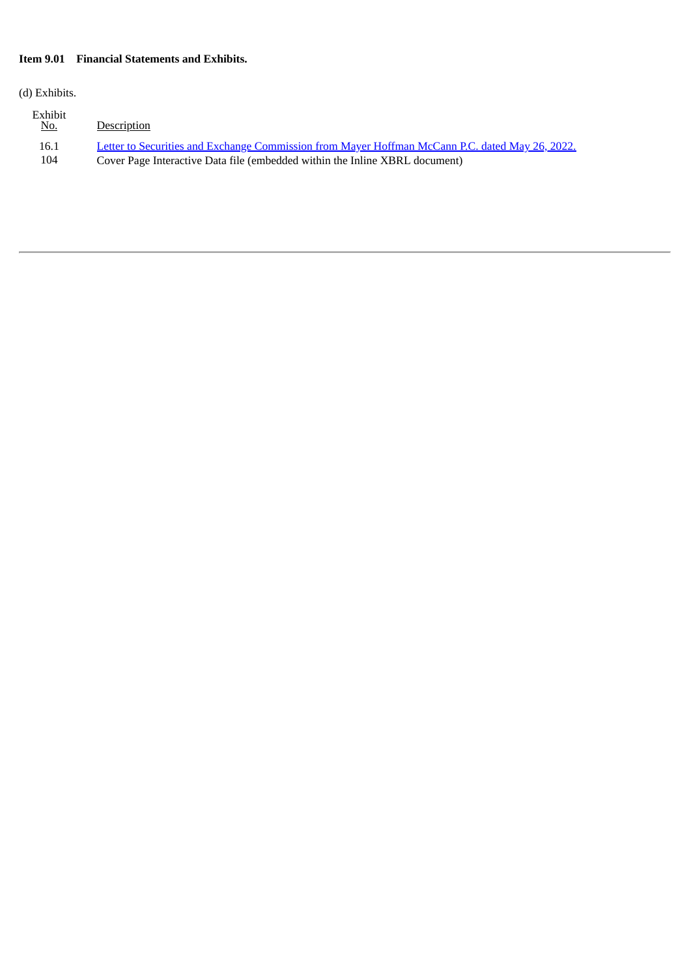## **Item 9.01 Financial Statements and Exhibits.**

(d) Exhibits.

| Exhibit<br>No. | Description                                                                                     |
|----------------|-------------------------------------------------------------------------------------------------|
| 16.1           | Letter to Securities and Exchange Commission from Mayer Hoffman McCann P.C. dated May 26, 2022. |
| 104            | Cover Page Interactive Data file (embedded within the Inline XBRL document)                     |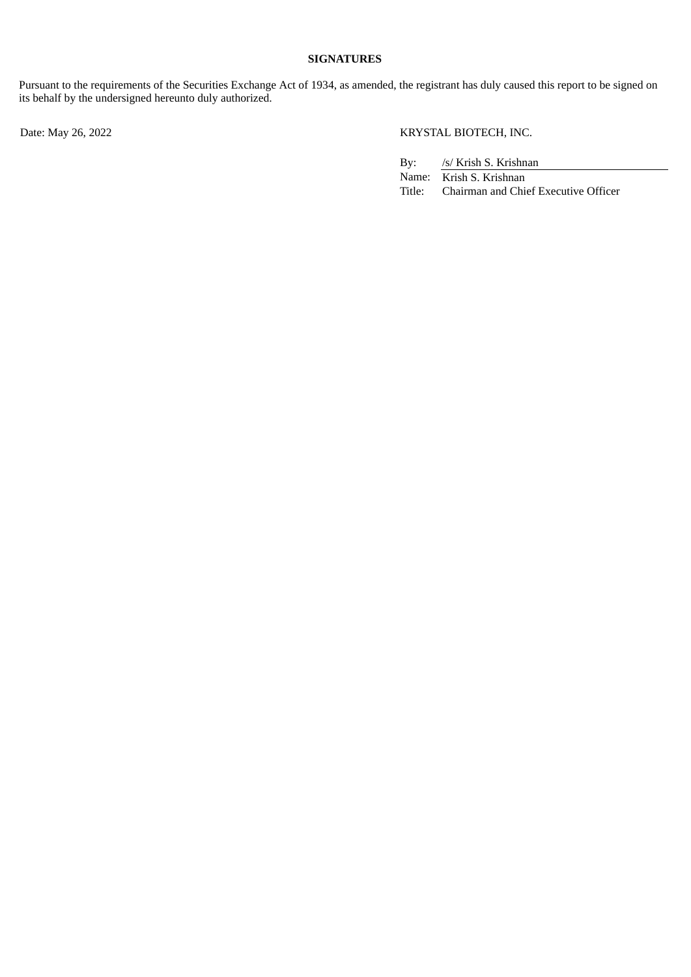### **SIGNATURES**

Pursuant to the requirements of the Securities Exchange Act of 1934, as amended, the registrant has duly caused this report to be signed on its behalf by the undersigned hereunto duly authorized.

Date: May 26, 2022 KRYSTAL BIOTECH, INC.

By: /s/ Krish S. Krishnan

Name: Krish S. Krishnan Title: Chairman and Chief Executive Officer